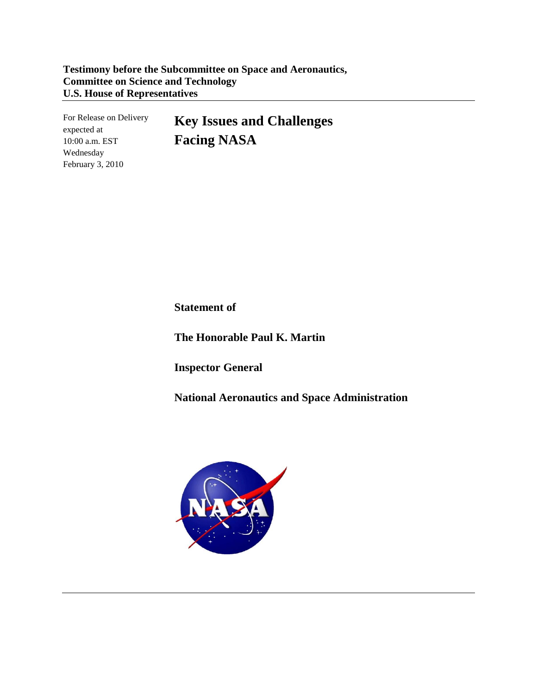For Release on Delivery expected at 10:00 a.m. EST Wednesday February 3, 2010

**Key Issues and Challenges Facing NASA**

**Statement of**

**The Honorable Paul K. Martin**

**Inspector General**

**National Aeronautics and Space Administration**

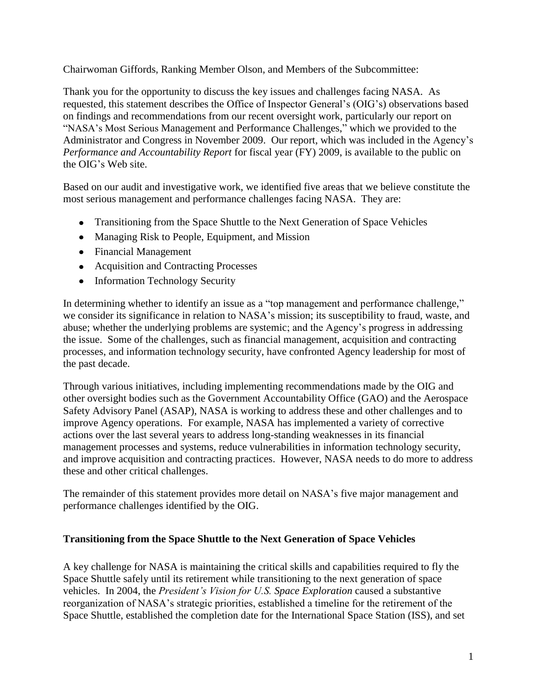Chairwoman Giffords, Ranking Member Olson, and Members of the Subcommittee:

Thank you for the opportunity to discuss the key issues and challenges facing NASA. As requested, this statement describes the Office of Inspector General's (OIG's) observations based on findings and recommendations from our recent oversight work, particularly our report on "NASA's Most Serious Management and Performance Challenges," which we provided to the Administrator and Congress in November 2009. Our report, which was included in the Agency's *Performance and Accountability Report* for fiscal year (FY) 2009, is available to the public on the OIG's Web site.

Based on our audit and investigative work, we identified five areas that we believe constitute the most serious management and performance challenges facing NASA. They are:

- Transitioning from the Space Shuttle to the Next Generation of Space Vehicles
- Managing Risk to People, Equipment, and Mission
- Financial Management
- Acquisition and Contracting Processes
- Information Technology Security

In determining whether to identify an issue as a "top management and performance challenge," we consider its significance in relation to NASA's mission; its susceptibility to fraud, waste, and abuse; whether the underlying problems are systemic; and the Agency's progress in addressing the issue. Some of the challenges, such as financial management, acquisition and contracting processes, and information technology security, have confronted Agency leadership for most of the past decade.

Through various initiatives, including implementing recommendations made by the OIG and other oversight bodies such as the Government Accountability Office (GAO) and the Aerospace Safety Advisory Panel (ASAP), NASA is working to address these and other challenges and to improve Agency operations. For example, NASA has implemented a variety of corrective actions over the last several years to address long-standing weaknesses in its financial management processes and systems, reduce vulnerabilities in information technology security, and improve acquisition and contracting practices. However, NASA needs to do more to address these and other critical challenges.

The remainder of this statement provides more detail on NASA's five major management and performance challenges identified by the OIG.

## **Transitioning from the Space Shuttle to the Next Generation of Space Vehicles**

A key challenge for NASA is maintaining the critical skills and capabilities required to fly the Space Shuttle safely until its retirement while transitioning to the next generation of space vehicles. In 2004, the *President's Vision for U.S. Space Exploration* caused a substantive reorganization of NASA's strategic priorities, established a timeline for the retirement of the Space Shuttle, established the completion date for the International Space Station (ISS), and set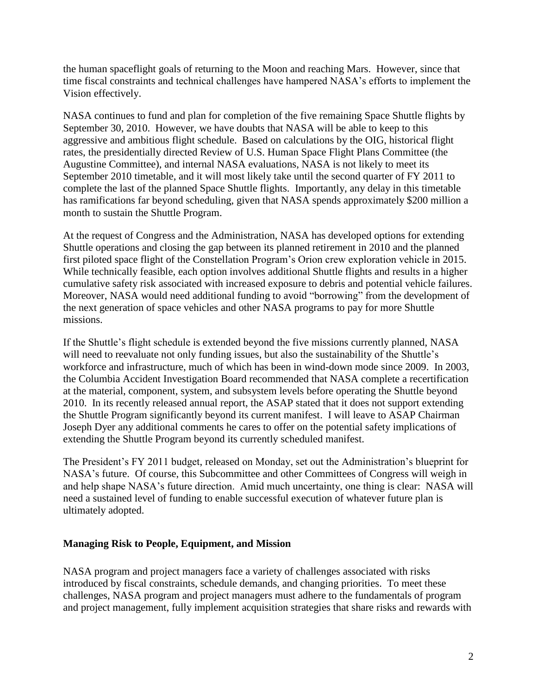the human spaceflight goals of returning to the Moon and reaching Mars. However, since that time fiscal constraints and technical challenges have hampered NASA's efforts to implement the Vision effectively.

NASA continues to fund and plan for completion of the five remaining Space Shuttle flights by September 30, 2010. However, we have doubts that NASA will be able to keep to this aggressive and ambitious flight schedule. Based on calculations by the OIG, historical flight rates, the presidentially directed Review of U.S. Human Space Flight Plans Committee (the Augustine Committee), and internal NASA evaluations, NASA is not likely to meet its September 2010 timetable, and it will most likely take until the second quarter of FY 2011 to complete the last of the planned Space Shuttle flights. Importantly, any delay in this timetable has ramifications far beyond scheduling, given that NASA spends approximately \$200 million a month to sustain the Shuttle Program.

At the request of Congress and the Administration, NASA has developed options for extending Shuttle operations and closing the gap between its planned retirement in 2010 and the planned first piloted space flight of the Constellation Program's Orion crew exploration vehicle in 2015. While technically feasible, each option involves additional Shuttle flights and results in a higher cumulative safety risk associated with increased exposure to debris and potential vehicle failures. Moreover, NASA would need additional funding to avoid "borrowing" from the development of the next generation of space vehicles and other NASA programs to pay for more Shuttle missions.

If the Shuttle's flight schedule is extended beyond the five missions currently planned, NASA will need to reevaluate not only funding issues, but also the sustainability of the Shuttle's workforce and infrastructure, much of which has been in wind-down mode since 2009. In 2003, the Columbia Accident Investigation Board recommended that NASA complete a recertification at the material, component, system, and subsystem levels before operating the Shuttle beyond 2010. In its recently released annual report, the ASAP stated that it does not support extending the Shuttle Program significantly beyond its current manifest. I will leave to ASAP Chairman Joseph Dyer any additional comments he cares to offer on the potential safety implications of extending the Shuttle Program beyond its currently scheduled manifest.

The President's FY 2011 budget, released on Monday, set out the Administration's blueprint for NASA's future. Of course, this Subcommittee and other Committees of Congress will weigh in and help shape NASA's future direction. Amid much uncertainty, one thing is clear: NASA will need a sustained level of funding to enable successful execution of whatever future plan is ultimately adopted.

#### **Managing Risk to People, Equipment, and Mission**

NASA program and project managers face a variety of challenges associated with risks introduced by fiscal constraints, schedule demands, and changing priorities. To meet these challenges, NASA program and project managers must adhere to the fundamentals of program and project management, fully implement acquisition strategies that share risks and rewards with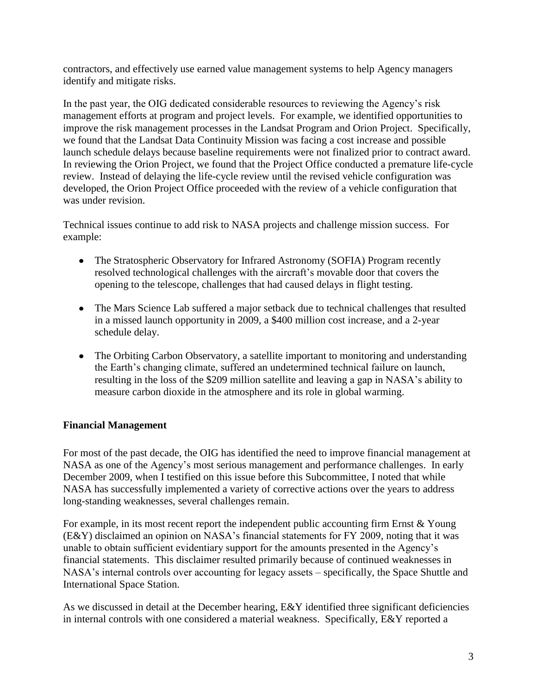contractors, and effectively use earned value management systems to help Agency managers identify and mitigate risks.

In the past year, the OIG dedicated considerable resources to reviewing the Agency's risk management efforts at program and project levels. For example, we identified opportunities to improve the risk management processes in the Landsat Program and Orion Project. Specifically, we found that the Landsat Data Continuity Mission was facing a cost increase and possible launch schedule delays because baseline requirements were not finalized prior to contract award. In reviewing the Orion Project, we found that the Project Office conducted a premature life-cycle review. Instead of delaying the life-cycle review until the revised vehicle configuration was developed, the Orion Project Office proceeded with the review of a vehicle configuration that was under revision.

Technical issues continue to add risk to NASA projects and challenge mission success. For example:

- The Stratospheric Observatory for Infrared Astronomy (SOFIA) Program recently resolved technological challenges with the aircraft's movable door that covers the opening to the telescope, challenges that had caused delays in flight testing.
- The Mars Science Lab suffered a major setback due to technical challenges that resulted in a missed launch opportunity in 2009, a \$400 million cost increase, and a 2-year schedule delay.
- The Orbiting Carbon Observatory, a satellite important to monitoring and understanding the Earth's changing climate, suffered an undetermined technical failure on launch, resulting in the loss of the \$209 million satellite and leaving a gap in NASA's ability to measure carbon dioxide in the atmosphere and its role in global warming.

## **Financial Management**

For most of the past decade, the OIG has identified the need to improve financial management at NASA as one of the Agency's most serious management and performance challenges. In early December 2009, when I testified on this issue before this Subcommittee, I noted that while NASA has successfully implemented a variety of corrective actions over the years to address long-standing weaknesses, several challenges remain.

For example, in its most recent report the independent public accounting firm Ernst & Young (E&Y) disclaimed an opinion on NASA's financial statements for FY 2009, noting that it was unable to obtain sufficient evidentiary support for the amounts presented in the Agency's financial statements. This disclaimer resulted primarily because of continued weaknesses in NASA's internal controls over accounting for legacy assets – specifically, the Space Shuttle and International Space Station.

As we discussed in detail at the December hearing, E&Y identified three significant deficiencies in internal controls with one considered a material weakness. Specifically, E&Y reported a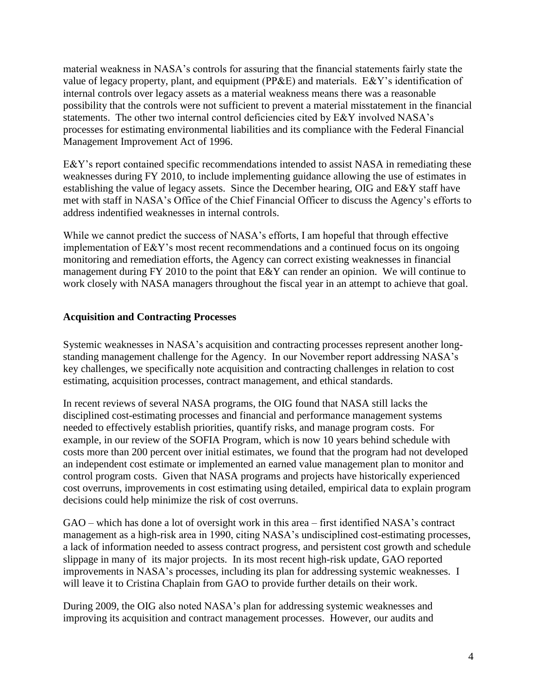material weakness in NASA's controls for assuring that the financial statements fairly state the value of legacy property, plant, and equipment (PP&E) and materials. E&Y's identification of internal controls over legacy assets as a material weakness means there was a reasonable possibility that the controls were not sufficient to prevent a material misstatement in the financial statements. The other two internal control deficiencies cited by E&Y involved NASA's processes for estimating environmental liabilities and its compliance with the Federal Financial Management Improvement Act of 1996.

E&Y's report contained specific recommendations intended to assist NASA in remediating these weaknesses during FY 2010, to include implementing guidance allowing the use of estimates in establishing the value of legacy assets. Since the December hearing, OIG and E&Y staff have met with staff in NASA's Office of the Chief Financial Officer to discuss the Agency's efforts to address indentified weaknesses in internal controls.

While we cannot predict the success of NASA's efforts, I am hopeful that through effective implementation of E&Y's most recent recommendations and a continued focus on its ongoing monitoring and remediation efforts, the Agency can correct existing weaknesses in financial management during FY 2010 to the point that E&Y can render an opinion. We will continue to work closely with NASA managers throughout the fiscal year in an attempt to achieve that goal.

# **Acquisition and Contracting Processes**

Systemic weaknesses in NASA's acquisition and contracting processes represent another longstanding management challenge for the Agency. In our November report addressing NASA's key challenges, we specifically note acquisition and contracting challenges in relation to cost estimating, acquisition processes, contract management, and ethical standards.

In recent reviews of several NASA programs, the OIG found that NASA still lacks the disciplined cost-estimating processes and financial and performance management systems needed to effectively establish priorities, quantify risks, and manage program costs. For example, in our review of the SOFIA Program, which is now 10 years behind schedule with costs more than 200 percent over initial estimates, we found that the program had not developed an independent cost estimate or implemented an earned value management plan to monitor and control program costs. Given that NASA programs and projects have historically experienced cost overruns, improvements in cost estimating using detailed, empirical data to explain program decisions could help minimize the risk of cost overruns.

GAO – which has done a lot of oversight work in this area – first identified NASA's contract management as a high-risk area in 1990, citing NASA's undisciplined cost-estimating processes, a lack of information needed to assess contract progress, and persistent cost growth and schedule slippage in many of its major projects. In its most recent high-risk update, GAO reported improvements in NASA's processes, including its plan for addressing systemic weaknesses. I will leave it to Cristina Chaplain from GAO to provide further details on their work.

During 2009, the OIG also noted NASA's plan for addressing systemic weaknesses and improving its acquisition and contract management processes. However, our audits and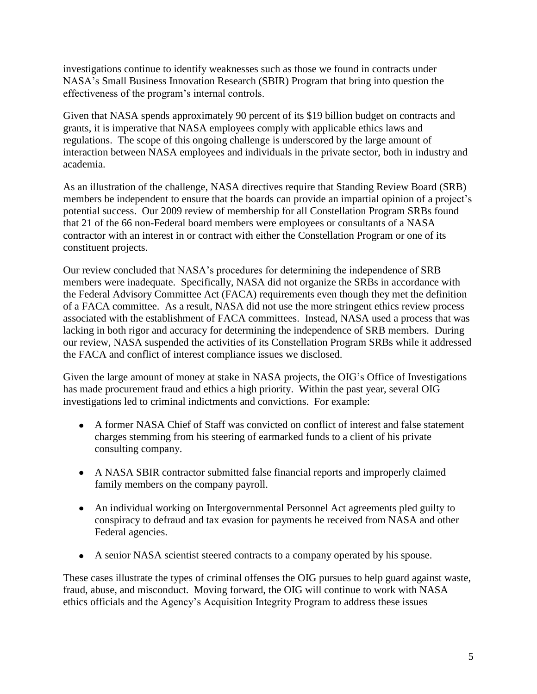investigations continue to identify weaknesses such as those we found in contracts under NASA's Small Business Innovation Research (SBIR) Program that bring into question the effectiveness of the program's internal controls.

Given that NASA spends approximately 90 percent of its \$19 billion budget on contracts and grants, it is imperative that NASA employees comply with applicable ethics laws and regulations. The scope of this ongoing challenge is underscored by the large amount of interaction between NASA employees and individuals in the private sector, both in industry and academia.

As an illustration of the challenge, NASA directives require that Standing Review Board (SRB) members be independent to ensure that the boards can provide an impartial opinion of a project's potential success. Our 2009 review of membership for all Constellation Program SRBs found that 21 of the 66 non-Federal board members were employees or consultants of a NASA contractor with an interest in or contract with either the Constellation Program or one of its constituent projects.

Our review concluded that NASA's procedures for determining the independence of SRB members were inadequate. Specifically, NASA did not organize the SRBs in accordance with the Federal Advisory Committee Act (FACA) requirements even though they met the definition of a FACA committee. As a result, NASA did not use the more stringent ethics review process associated with the establishment of FACA committees. Instead, NASA used a process that was lacking in both rigor and accuracy for determining the independence of SRB members. During our review, NASA suspended the activities of its Constellation Program SRBs while it addressed the FACA and conflict of interest compliance issues we disclosed.

Given the large amount of money at stake in NASA projects, the OIG's Office of Investigations has made procurement fraud and ethics a high priority. Within the past year, several OIG investigations led to criminal indictments and convictions. For example:

- A former NASA Chief of Staff was convicted on conflict of interest and false statement charges stemming from his steering of earmarked funds to a client of his private consulting company.
- A NASA SBIR contractor submitted false financial reports and improperly claimed family members on the company payroll.
- An individual working on Intergovernmental Personnel Act agreements pled guilty to conspiracy to defraud and tax evasion for payments he received from NASA and other Federal agencies.
- A senior NASA scientist steered contracts to a company operated by his spouse.

These cases illustrate the types of criminal offenses the OIG pursues to help guard against waste, fraud, abuse, and misconduct. Moving forward, the OIG will continue to work with NASA ethics officials and the Agency's Acquisition Integrity Program to address these issues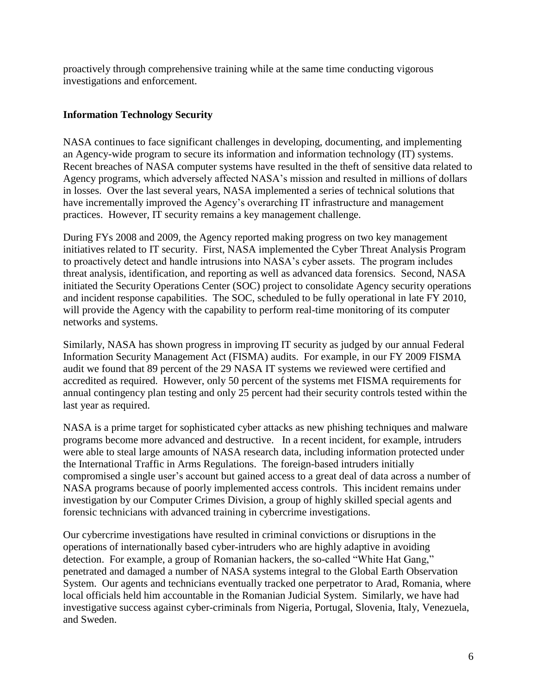proactively through comprehensive training while at the same time conducting vigorous investigations and enforcement.

## **Information Technology Security**

NASA continues to face significant challenges in developing, documenting, and implementing an Agency-wide program to secure its information and information technology (IT) systems. Recent breaches of NASA computer systems have resulted in the theft of sensitive data related to Agency programs, which adversely affected NASA's mission and resulted in millions of dollars in losses. Over the last several years, NASA implemented a series of technical solutions that have incrementally improved the Agency's overarching IT infrastructure and management practices. However, IT security remains a key management challenge.

During FYs 2008 and 2009, the Agency reported making progress on two key management initiatives related to IT security. First, NASA implemented the Cyber Threat Analysis Program to proactively detect and handle intrusions into NASA's cyber assets. The program includes threat analysis, identification, and reporting as well as advanced data forensics. Second, NASA initiated the Security Operations Center (SOC) project to consolidate Agency security operations and incident response capabilities. The SOC, scheduled to be fully operational in late FY 2010, will provide the Agency with the capability to perform real-time monitoring of its computer networks and systems.

Similarly, NASA has shown progress in improving IT security as judged by our annual Federal Information Security Management Act (FISMA) audits. For example, in our FY 2009 FISMA audit we found that 89 percent of the 29 NASA IT systems we reviewed were certified and accredited as required. However, only 50 percent of the systems met FISMA requirements for annual contingency plan testing and only 25 percent had their security controls tested within the last year as required.

NASA is a prime target for sophisticated cyber attacks as new phishing techniques and malware programs become more advanced and destructive. In a recent incident, for example, intruders were able to steal large amounts of NASA research data, including information protected under the International Traffic in Arms Regulations. The foreign-based intruders initially compromised a single user's account but gained access to a great deal of data across a number of NASA programs because of poorly implemented access controls. This incident remains under investigation by our Computer Crimes Division, a group of highly skilled special agents and forensic technicians with advanced training in cybercrime investigations.

Our cybercrime investigations have resulted in criminal convictions or disruptions in the operations of internationally based cyber-intruders who are highly adaptive in avoiding detection. For example, a group of Romanian hackers, the so-called "White Hat Gang," penetrated and damaged a number of NASA systems integral to the Global Earth Observation System. Our agents and technicians eventually tracked one perpetrator to Arad, Romania, where local officials held him accountable in the Romanian Judicial System. Similarly, we have had investigative success against cyber-criminals from Nigeria, Portugal, Slovenia, Italy, Venezuela, and Sweden.